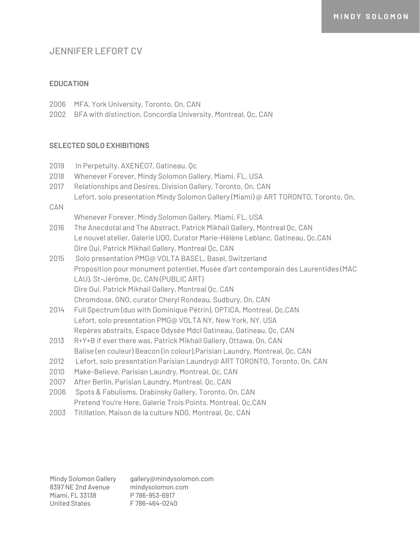## **JENNIFER LEFORT CV**

#### **EDUCATION**

- 2006 MFA, York University, Toronto, On, CAN
- 2002 BFA with distinction, Concordia University, Montreal, Qc, CAN

#### **SELECTED SOLO EXHIBITIONS**

2019 In Perpetuity, AXENÉO7, Gatineau, Qc 2018 Whenever Forever, Mindy Solomon Gallery, Miami, FL, USA 2017 Relationships and Desires, Division Gallery, Toronto, On, CAN Lefort, solo presentation Mindy Solomon Gallery (Miami) @ ART TORONTO, Toronto, On, CAN Whenever Forever, Mindy Solomon Gallery, Miami, FL, USA 2016 The Anecdotal and The Abstract, Patrick Mikhail Gallery, Montreal Qc, CAN Le nouvel atelier, Galerie UQO, Curator Marie-Hélène Leblanc, Gatineau, Qc,CAN Dire Oui, Patrick Mikhail Gallery, Montreal Qc, CAN 2015 Solo presentation PMG@ VOLTA BASEL, Basel, Switzerland Proposition pour monument potentiel, Musée d'art contemporain des Laurentides (MAC LAU), St-Jérôme, Qc, CAN (PUBLIC ART) Dire Oui, Patrick Mikhail Gallery, Montreal Qc, CAN Chromdose, GNO, curator Cheryl Rondeau, Sudbury, On, CAN 2014 Full Spectrum (duo with Dominique Pétrin), OPTICA, Montreal, Qc,CAN Lefort, solo presentation PMG@ VOLTA NY, New York, NY, USA Repères abstraits, Espace Odysée Mdcl Gatineau, Gatineau, Qc, CAN 2013 R+Y+B if ever there was, Patrick Mikhail Gallery, Ottawa, On, CAN Balise (en couleur) Beacon (in colour),Parisian Laundry, Montreal, Qc, CAN 2012 Lefort, solo presentation Parisian Laundry@ ART TORONTO, Toronto, On, CAN 2010 Make-Believe, Parisian Laundry, Montreal, Qc, CAN 2007 After Berlin, Parisian Laundry, Montreal, Qc, CAN 2006 Spots & Fabulisms, Drabinsky Gallery, Toronto, On, CAN Pretend You're Here, Galerie Trois Points, Montreal, Qc,CAN 2003 Titillation, Maison de la culture NDG, Montreal, Qc, CAN

Mindy Solomon Gallery 8397 NE 2nd Avenue Miami, FL 33138 United States gallery@mindysolomon.com mindysolomon.com P 786-953-6917 F 786-464-0240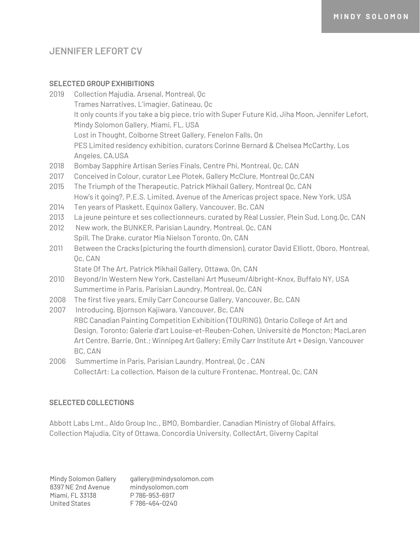# **JENNIFER LEFORT CV**

### **SELECTED GROUP EXHIBITIONS**

- 2019 Collection Majudia, Arsenal, Montreal, Qc Trames Narratives, L'imagier, Gatineau, Qc It only counts if you take a big piece, trio with Super Future Kid, Jiha Moon, Jennifer Lefort, Mindy Solomon Gallery, Miami, FL, USA Lost in Thought, Colborne Street Gallery, Fenelon Falls, On PES Limited residency exhibition, curators Corinne Bernard & Chelsea McCarthy, Los Angeles, CA,USA 2018 Bombay Sapphire Artisan Series Finals, Centre Phi, Montreal, Qc, CAN 2017 Conceived in Colour, curator Lee Plotek, Gallery McClure, Montreal Qc,CAN 2015 The Triumph of the Therapeutic, Patrick Mikhail Gallery, Montreal Qc, CAN How's it going?, P.E.S. Limited, Avenue of the Americas project space, New York, USA 2014 Ten years of Plaskett, Equinox Gallery, Vancouver, Bc, CAN 2013 La jeune peinture et ses collectionneurs, curated by Réal Lussier, Plein Sud, Long.Qc, CAN
- 2012 New work, the BUNKER, Parisian Laundry, Montreal, Qc, CAN Spill, The Drake, curator Mia Nielson Toronto, On, CAN
- 2011 Between the Cracks (picturing the fourth dimension), curator David Elliott, Oboro, Montreal, Qc, CAN

State Of The Art, Patrick Mikhail Gallery, Ottawa, On, CAN

- 2010 Beyond/In Western New York, Castellani Art Museum/Albright-Knox, Buffalo NY, USA Summertime in Paris, Parisian Laundry, Montreal, Qc, CAN
- 2008 The first five years, Emily Carr Concourse Gallery, Vancouver, Bc, CAN
- 2007 Introducing, Bjornson Kajiwara, Vancouver, Bc, CAN RBC Canadian Painting Competition Exhibition (TOURING), Ontario College of Art and Design, Toronto; Galerie d'art Louise-et-Reuben-Cohen, Université de Moncton; MacLaren Art Centre, Barrie, Ont.; Winnipeg Art Gallery; Emily Carr Institute Art + Design, Vancouver BC, CAN
- 2006 Summertime in Paris, Parisian Laundry, Montreal, Qc , CAN CollectArt: La collection, Maison de la culture Frontenac, Montreal, Qc, CAN

### **SELECTED COLLECTIONS**

Abbott Labs Lmt., Aldo Group Inc., BMO, Bombardier, Canadian Ministry of Global Affairs, Collection Majudia, City of Ottawa, Concordia University, CollectArt, Giverny Capital

Mindy Solomon Gallery 8397 NE 2nd Avenue Miami, FL 33138 United States gallery@mindysolomon.com mindysolomon.com P 786-953-6917 F 786-464-0240